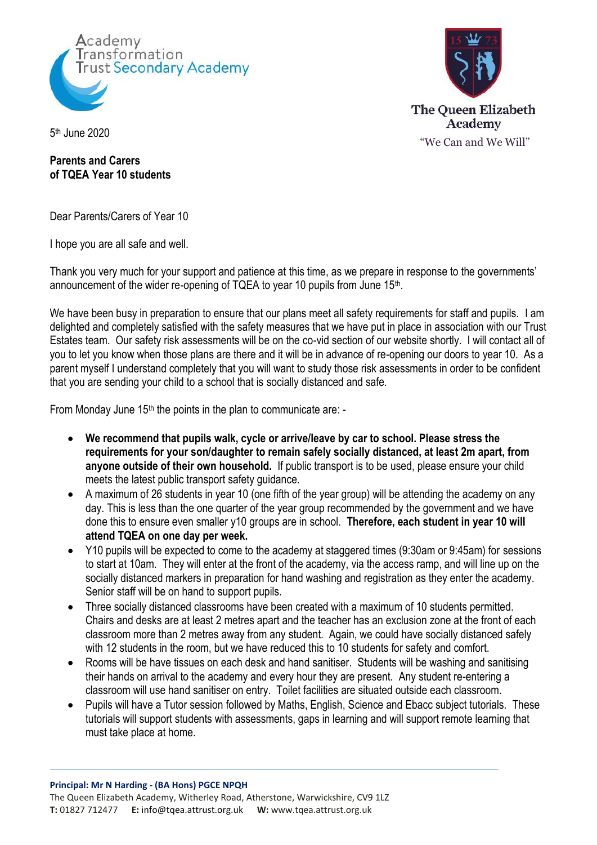



5 th June 2020

## **Parents and Carers of TQEA Year 10 students**

Dear Parents/Carers of Year 10

I hope you are all safe and well.

Thank you very much for your support and patience at this time, as we prepare in response to the governments' announcement of the wider re-opening of TQEA to year 10 pupils from June 15<sup>th</sup>.

We have been busy in preparation to ensure that our plans meet all safety requirements for staff and pupils. I am delighted and completely satisfied with the safety measures that we have put in place in association with our Trust Estates team. Our safety risk assessments will be on the co-vid section of our website shortly. I will contact all of you to let you know when those plans are there and it will be in advance of re-opening our doors to year 10. As a parent myself I understand completely that you will want to study those risk assessments in order to be confident that you are sending your child to a school that is socially distanced and safe.

From Monday June 15<sup>th</sup> the points in the plan to communicate are: -

- **We recommend that pupils walk, cycle or arrive/leave by car to school. Please stress the requirements for your son/daughter to remain safely socially distanced, at least 2m apart, from anyone outside of their own household.** If public transport is to be used, please ensure your child meets the latest public transport safety guidance.
- A maximum of 26 students in year 10 (one fifth of the year group) will be attending the academy on any day. This is less than the one quarter of the year group recommended by the government and we have done this to ensure even smaller y10 groups are in school. **Therefore, each student in year 10 will attend TQEA on one day per week.**
- Y10 pupils will be expected to come to the academy at staggered times (9:30am or 9:45am) for sessions to start at 10am. They will enter at the front of the academy, via the access ramp, and will line up on the socially distanced markers in preparation for hand washing and registration as they enter the academy. Senior staff will be on hand to support pupils.
- Three socially distanced classrooms have been created with a maximum of 10 students permitted. Chairs and desks are at least 2 metres apart and the teacher has an exclusion zone at the front of each classroom more than 2 metres away from any student. Again, we could have socially distanced safely with 12 students in the room, but we have reduced this to 10 students for safety and comfort.
- Rooms will be have tissues on each desk and hand sanitiser. Students will be washing and sanitising their hands on arrival to the academy and every hour they are present. Any student re-entering a classroom will use hand sanitiser on entry. Toilet facilities are situated outside each classroom.
- Pupils will have a Tutor session followed by Maths, English, Science and Ebacc subject tutorials. These tutorials will support students with assessments, gaps in learning and will support remote learning that must take place at home.